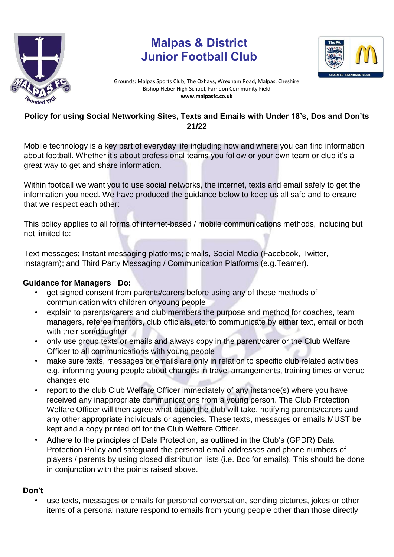

# **Malpas & District Junior Football Club**



Grounds: Malpas Sports Club, The Oxhays, Wrexham Road, Malpas, Cheshire Bishop Heber High School, Farndon Community Field **www.malpasfc.co.uk** 

#### **Policy for using Social Networking Sites, Texts and Emails with Under 18's, Dos and Don'ts 21/22**

Mobile technology is a key part of everyday life including how and where you can find information about football. Whether it's about professional teams you follow or your own team or club it's a great way to get and share information.

Within football we want you to use social networks, the internet, texts and email safely to get the information you need. We have produced the guidance below to keep us all safe and to ensure that we respect each other:

This policy applies to all forms of internet-based / mobile communications methods, including but not limited to:

Text messages; Instant messaging platforms; emails, Social Media (Facebook, Twitter, Instagram); and Third Party Messaging / Communication Platforms (e.g.Teamer).

#### **Guidance for Managers Do:**

- get signed consent from parents/carers before using any of these methods of communication with children or young people
- explain to parents/carers and club members the purpose and method for coaches, team managers, referee mentors, club officials, etc. to communicate by either text, email or both with their son/daughter
- only use group texts or emails and always copy in the parent/carer or the Club Welfare Officer to all communications with young people
- make sure texts, messages or emails are only in relation to specific club related activities e.g. informing young people about changes in travel arrangements, training times or venue changes etc
- report to the club Club Welfare Officer immediately of any instance(s) where you have received any inappropriate communications from a young person. The Club Protection Welfare Officer will then agree what action the club will take, notifying parents/carers and any other appropriate individuals or agencies. These texts, messages or emails MUST be kept and a copy printed off for the Club Welfare Officer.
- Adhere to the principles of Data Protection, as outlined in the Club's (GPDR) Data Protection Policy and safeguard the personal email addresses and phone numbers of players / parents by using closed distribution lists (i.e. Bcc for emails). This should be done in conjunction with the points raised above.

### **Don't**

• use texts, messages or emails for personal conversation, sending pictures, jokes or other items of a personal nature respond to emails from young people other than those directly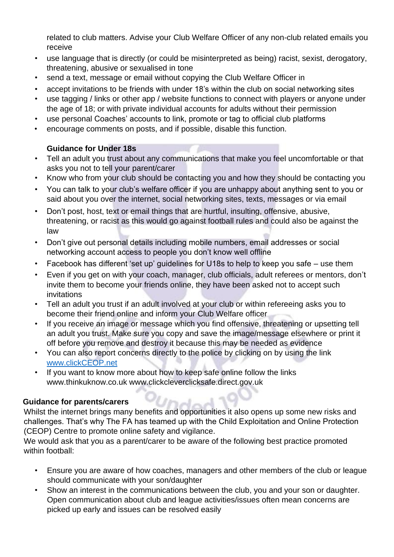related to club matters. Advise your Club Welfare Officer of any non-club related emails you receive

- use language that is directly (or could be misinterpreted as being) racist, sexist, derogatory, threatening, abusive or sexualised in tone
- send a text, message or email without copying the Club Welfare Officer in
- accept invitations to be friends with under 18's within the club on social networking sites
- use tagging / links or other app / website functions to connect with players or anyone under the age of 18; or with private individual accounts for adults without their permission
- use personal Coaches' accounts to link, promote or tag to official club platforms
- encourage comments on posts, and if possible, disable this function.

## **Guidance for Under 18s**

- Tell an adult you trust about any communications that make you feel uncomfortable or that asks you not to tell your parent/carer
- Know who from your club should be contacting you and how they should be contacting you
- You can talk to your club's welfare officer if you are unhappy about anything sent to you or said about you over the internet, social networking sites, texts, messages or via email
- Don't post, host, text or email things that are hurtful, insulting, offensive, abusive, threatening, or racist as this would go against football rules and could also be against the law
- Don't give out personal details including mobile numbers, email addresses or social networking account access to people you don't know well offline
- Facebook has different 'set up' guidelines for U18s to help to keep you safe use them
- Even if you get on with your coach, manager, club officials, adult referees or mentors, don't invite them to become your friends online, they have been asked not to accept such invitations
- Tell an adult you trust if an adult involved at your club or within refereeing asks you to become their friend online and inform your Club Welfare officer
- If you receive an image or message which you find offensive, threatening or upsetting tell an adult you trust. Make sure you copy and save the image/message elsewhere or print it off before you remove and destroy it because this may be needed as evidence
- You can also report concerns directly to the police by clicking on by using the link [www.clickCEOP.net](http://www.clickceop.net/)
- If you want to know more about how to keep safe online follow the links www.thinkuknow.co.uk www.clickcleverclicksafe.direct.gov.uk

### **Guidance for parents/carers**

Whilst the internet brings many benefits and opportunities it also opens up some new risks and challenges. That's why The FA has teamed up with the Child Exploitation and Online Protection (CEOP) Centre to promote online safety and vigilance.

We would ask that you as a parent/carer to be aware of the following best practice promoted within football:

- Ensure you are aware of how coaches, managers and other members of the club or league should communicate with your son/daughter
- Show an interest in the communications between the club, you and your son or daughter. Open communication about club and league activities/issues often mean concerns are picked up early and issues can be resolved easily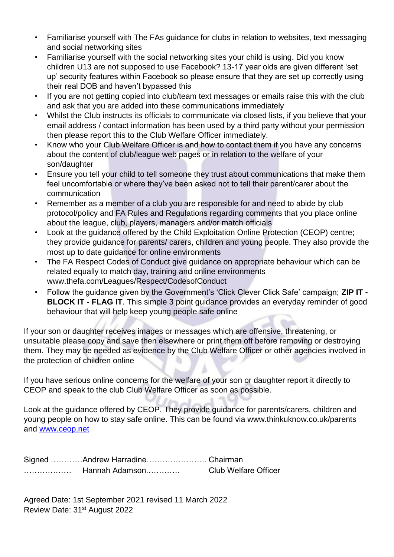- Familiarise yourself with The FAs guidance for clubs in relation to websites, text messaging and social networking sites
- Familiarise yourself with the social networking sites your child is using. Did you know children U13 are not supposed to use Facebook? 13-17 year olds are given different 'set up' security features within Facebook so please ensure that they are set up correctly using their real DOB and haven't bypassed this
- If you are not getting copied into club/team text messages or emails raise this with the club and ask that you are added into these communications immediately
- Whilst the Club instructs its officials to communicate via closed lists, if you believe that your email address / contact information has been used by a third party without your permission then please report this to the Club Welfare Officer immediately.
- Know who your Club Welfare Officer is and how to contact them if you have any concerns about the content of club/league web pages or in relation to the welfare of your son/daughter
- Ensure you tell your child to tell someone they trust about communications that make them feel uncomfortable or where they've been asked not to tell their parent/carer about the communication
- Remember as a member of a club you are responsible for and need to abide by club protocol/policy and FA Rules and Regulations regarding comments that you place online about the league, club, players, managers and/or match officials
- Look at the guidance offered by the Child Exploitation Online Protection (CEOP) centre; they provide guidance for parents/ carers, children and young people. They also provide the most up to date guidance for online environments
- The FA Respect Codes of Conduct give guidance on appropriate behaviour which can be related equally to match day, training and online environments www.thefa.com/Leagues/Respect/CodesofConduct
- Follow the guidance given by the Government's 'Click Clever Click Safe' campaign; **ZIP IT - BLOCK IT - FLAG IT**. This simple 3 point guidance provides an everyday reminder of good behaviour that will help keep young people safe online

If your son or daughter receives images or messages which are offensive, threatening, or unsuitable please copy and save then elsewhere or print them off before removing or destroying them. They may be needed as evidence by the Club Welfare Officer or other agencies involved in the protection of children online

If you have serious online concerns for the welfare of your son or daughter report it directly to CEOP and speak to the club Club Welfare Officer as soon as possible.

Look at the guidance offered by CEOP. They provide guidance for parents/carers, children and young people on how to stay safe online. This can be found via www.thinkuknow.co.uk/parents and [www.ceop.net](http://www.ceop.net/) 

Signed …………Andrew Harradine………………….. Chairman ……………… Hannah Adamson.………… Club Welfare Officer

Agreed Date: 1st September 2021 revised 11 March 2022 Review Date: 31st August 2022